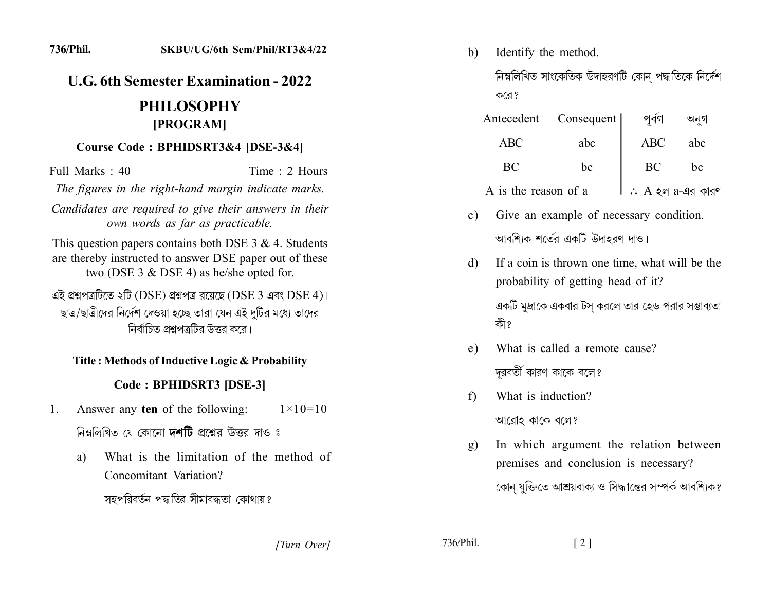# **U.G. 6th Semester Examination - 2022**

## **PHILOSOPHY** [PROGRAM]

#### Course Code: BPHIDSRT3&4 [DSE-3&4]

Full Marks: 40 Time: 2 Hours The figures in the right-hand margin indicate marks.

Candidates are required to give their answers in their own words as far as practicable.

This question papers contains both DSE  $3 & 4$ . Students are thereby instructed to answer DSE paper out of these two (DSE  $3 \&$  DSE 4) as he/she opted for.

এই প্ৰশ্নপত্ৰটিতে ২টি (DSE) প্ৰশ্নপত্ৰ রয়েছে (DSE 3 এবং DSE 4)। ছাত্র/ছাত্রীদের নির্দেশ দেওয়া হচ্ছে তারা যেন এই দুটির মধ্যে তাদের নির্বাচিত প্রশ্নপত্রটির উত্তর করে।

### Title: Methods of Inductive Logic & Probability

### Code: BPHIDSRT3 [DSE-3]

- Answer any ten of the following:  $1_{\cdot}$  $1 \times 10 = 10$ নিম্নলিখিত যে-কোনো **দশটি** প্রশ্নের উত্তর দাও ঃ
	- What is the limitation of the method of a) Concomitant Variation?

সহপবিবর্তন পদ্ধতির সীমাবদ্ধতা কোথায়?

Identify the method. b)

> নিম্নলিখিত সাংকেতিক উদাহরণটি কোন পদ্ধতিকে নির্দেশ করে?

|                      | Antecedent Consequent | পূর্বগ                      | অনগ |  |
|----------------------|-----------------------|-----------------------------|-----|--|
| ABC.                 | abc                   | <b>ABC</b>                  | abc |  |
| BС                   | bc                    | BC                          | bc  |  |
| A is the reason of a |                       | $\therefore$ A হল a-এর কারণ |     |  |

- Give an example of necessary condition.  $c)$ আবশিক শর্তের একটি উদাহরণ দাও।
- If a coin is thrown one time, what will be the d) probability of getting head of it? একটি মুদ্রাকে একবার টস করলে তার হেড পরার সম্ভাব্যতা কী ?
- What is called a remote cause?  $e)$ দরবর্তী কারণ কাকে বলে?
- What is induction?  $f$ আরোহ কাকে বলে?
- In which argument the relation between  $\mathbf{g}$ ) premises and conclusion is necessary? কোন যুক্তিতে আশ্রয়বাক্য ও সিদ্ধান্তের সম্পর্ক আবশ্যিক?

736/Phil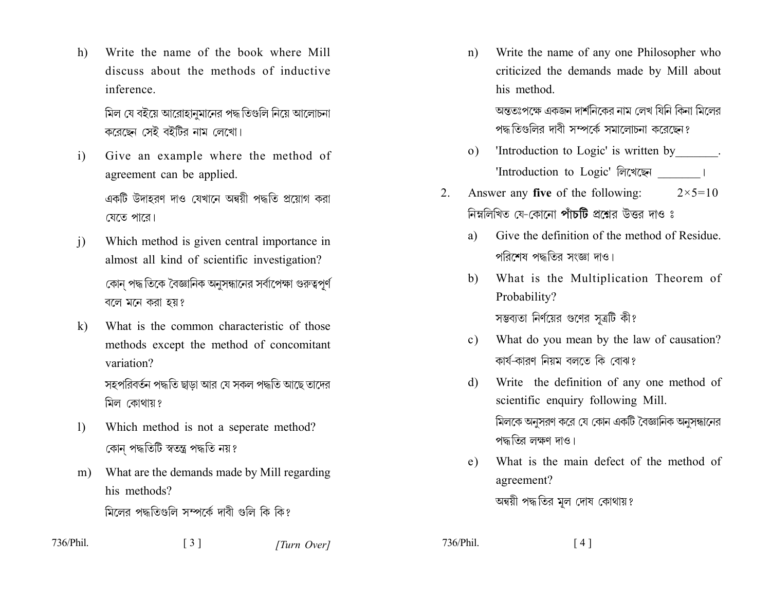Write the name of the book where Mill h) discuss about the methods of inductive inference.

> মিল যে বইয়ে আরোহানমানের পদ্ধ তিগুলি নিয়ে আলোচনা করেছেন সেই বইটির নাম লেখো।

Give an example where the method of  $\mathbf{i}$ agreement can be applied.

> একটি উদাহরণ দাও যেখানে অন্বয়ী পদ্ধতি প্রয়োগ করা যেতে পারে।

- Which method is given central importance in  $\mathbf{i}$ almost all kind of scientific investigation? কোন পদ্ধ তিকে বৈজ্ঞানিক অনুসন্ধানের সর্বাপেক্ষা গুরুত্বপূর্ণ বলে মনে করা হয়?
- What is the common characteristic of those  $k)$ methods except the method of concomitant variation? সহপরিবর্তন পদ্ধতি ছাডা আর যে সকল পদ্ধতি আছে তাদের মিল কোথায়?
- Which method is not a seperate method?  $\left| \right|$ কোন পদ্ধতিটি স্বতন্ত্ৰ পদ্ধতি নয়?
- What are the demands made by Mill regarding  $m)$ his methods? মিলের পদ্ধতিগুলি সম্পর্কে দাবী গুলি কি কি?

 $\begin{bmatrix} 3 \end{bmatrix}$ 

- 
- 736/Phil

[Turn Over]

Write the name of any one Philosopher who  $n)$ criticized the demands made by Mill about his method.

> অন্ততঃপক্ষে একজন দার্শনিকের নাম লেখ যিনি কিনা মিলের পদ্ধ তিগুলির দাবী সম্পর্কে সমালোচনা করেছেন?

- 'Introduction to Logic' is written by \_\_\_\_\_\_\_.  $\Omega$ 'Introduction to Logic' লিখেছেন ।
- Answer any five of the following:  $2_{-}$  $2 \times 5 = 10$ নিম্নলিখিত যে-কোনো পাঁচটি প্রশ্নের উত্তর দাও ঃ
	- Give the definition of the method of Residue a) পরিশেষ পদ্ধতির সংজ্ঞা দাও।
	- What is the Multiplication Theorem of  $b)$ Probability?

সম্ভব্যতা নির্ণয়ের গুণের সূত্রটি কী?

- What do you mean by the law of causation?  $c$ ) কাৰ্য-কাবণ নিয়ম বলতে কি বোঝ?
- Write the definition of any one method of d) scientific enquiry following Mill. মিলকে অনুসরণ করে যে কোন একটি বৈজ্ঞানিক অনুসন্ধানের পদ্ধতির লক্ষণ দাও।
- What is the main defect of the method of  $e)$ agreement?

অন্বয়ী পদ্ধতির মূল দোষ কোথায়?

736/Phil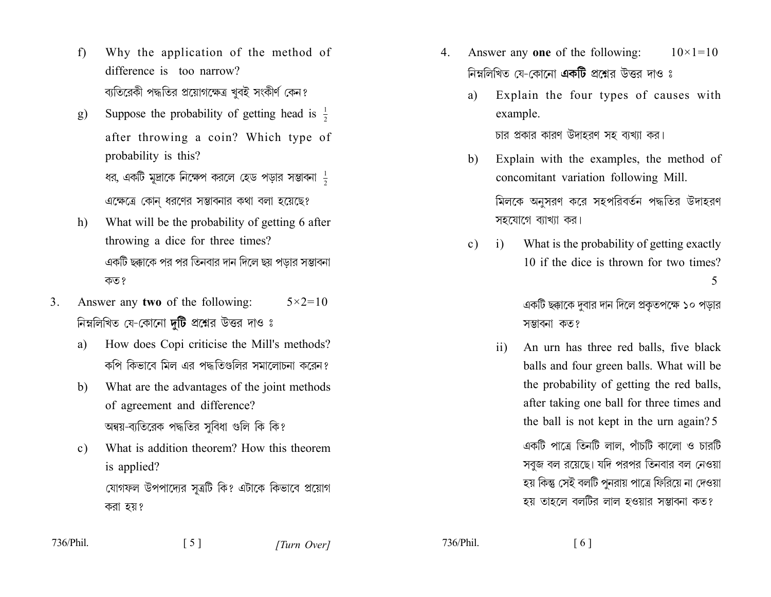- Why the application of the method of  $f$ difference is too narrow? ব্যতিরেকী পদ্ধতির প্রয়োগক্ষেত্র খুবই সংকীর্ণ কেন?
- Suppose the probability of getting head is  $\frac{1}{2}$ g) after throwing a coin? Which type of probability is this? ধর, একটি মূদ্রাকে নিক্ষেপ করলে হেড পড়ার সম্ভাবনা  $\frac{1}{2}$ এক্ষেত্রে কোন ধরণের সম্ভাবনার কথা বলা হয়েছে?
- What will be the probability of getting 6 after  $h$ throwing a dice for three times? একটি ছক্কাকে পর পর তিনবার দান দিলে ছয় পডার সম্ভাবনা কত?
- Answer any two of the following:  $\mathcal{E}$  $5 \times 2 = 10$ নিম্নলিখিত যে-কোনো **দটি** প্রশ্নের উত্তর দাও ঃ
	- How does Copi criticise the Mill's methods? a) কপি কিভাবে মিল এর পদ্ধতিগুলির সমালোচনা করেন?
	- What are the advantages of the joint methods b) of agreement and difference? অন্বয়-ব্যতিরেক পদ্ধতির সুবিধা গুলি কি কি?
	- What is addition theorem? How this theorem  $c)$ is applied? যোগফল উপপাদ্যের সূত্রটি কি? এটাকে কিভাবে প্রয়োগ করা হয়?
- Answer any one of the following:  $10 \times 1 = 10$  $\overline{4}$ নিম্নলিখিত যে-কোনো **একটি** প্রশ্নের উত্তর দাও ঃ
	- Explain the four types of causes with a) example.

চার প্রকার কারণ উদাহরণ সহ ব্যখ্যা কর।

Explain with the examples, the method of b) concomitant variation following Mill.

> মিলকে অনুসরণ করে সহপরিবর্তন পদ্ধতির উদাহরণ সহযোগে ব্যাখ্যা কর।

What is the probability of getting exactly  $\overline{1}$  $c)$ 10 if the dice is thrown for two times? 5

> একটি ছক্কাকে দুবার দান দিলে প্রকৃতপক্ষে ১০ পড়ার সম্ভাবনা কত?

 $\overline{11}$ An urn has three red balls, five black balls and four green balls. What will be the probability of getting the red balls, after taking one ball for three times and the ball is not kept in the urn again? 5 একটি পাত্রে তিনটি লাল, পাঁচটি কালো ও চারটি সবজ বল রয়েছে। যদি পরপর তিনবার বল নেওয়া হয় কিন্তু সেই বলটি পুনরায় পাত্রে ফিরিয়ে না দেওয়া হয় তাহলে বলটির লাল হওয়ার সম্ভাবনা কত?

736/Phil.

736/Phil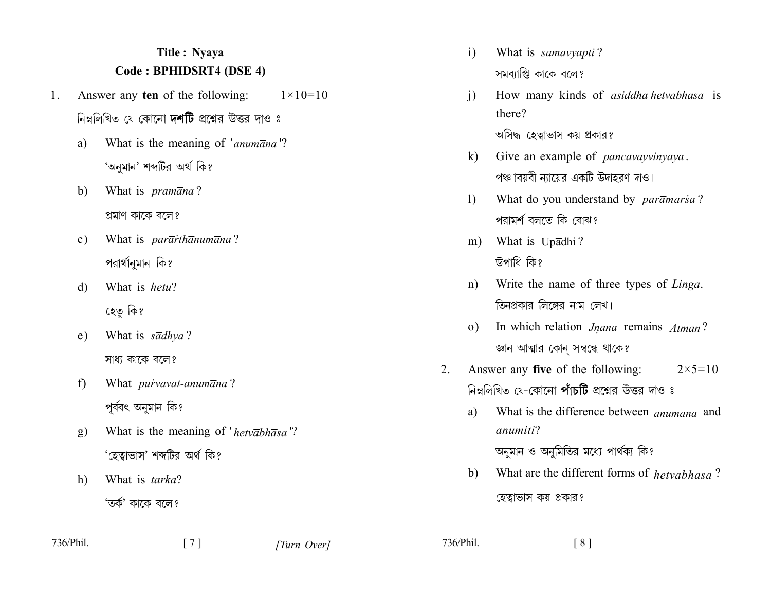## Title: Nyaya Code: BPHIDSRT4 (DSE 4)

- Answer any ten of the following:  $1 \times 10 = 10$  $\mathbf{1}$ . নিম্নলিখিত যে-কোনো **দশটি** প্রশ্নের উত্তর দাও ঃ
	- a) What is the meaning of 'anumana'? 'অনুমান' শব্দটির অর্থ কি?
	- What is *pramana*? b) প্ৰমাণ কাকে বলে?
	- What is *pararthanumana*?  $c)$ পরার্থানুমান কি?
	- What is hetu?  $\mathbf{d}$ হেতু কি?
	- What is  $s\overline{a}dhva$ ? e) সাধ্য কাকে বলে?
	- What *purvavat-anumana*? f) পূৰ্ববৎ অনুমান কি?
	- What is the meaning of 'het  $\overline{abh\overline{a}}sa$ '? **g**) 'হেত্বাভাস' শব্দটির অর্থ কি?
	- What is tarka? h) 'তৰ্ক' কাকে বলে?
- 736/Phil.

What is samavyapti?  $\mathbf{i}$ সমব্যাপ্তি কাকে বলে?

 $\mathbf{i}$ How many kinds of *asiddha hetvabhasa* is there?

অসিদ্ধ হেত্বাভাস কয় প্রকার?

- Give an example of *pancavayvinyaya*.  $\bf k$ পঞ্চাবয়বী ন্যায়ের একটি উদাহরণ দাও।
- What do you understand by paramarsa?  $\mathbf{D}$ পরামর্শ বলতে কি বোঝ?
- What is Upadhi?  $m)$ উপাধি কি?
- Write the name of three types of Linga.  $n)$ তিনপ্রকার লিঙ্গের নাম লেখ।
- In which relation  $Jn\overline{a}na$  remains  $Atm\overline{a}n$ ?  $\Omega$ জ্ঞান আত্মার কোন্ সম্বন্ধে থাকে?
- Answer any five of the following:  $2 \times 5 = 10$ 2. নিম্নলিখিত যে-কোনো পাঁচটি প্রশ্নের উত্তর দাও ঃ
	- What is the difference between *anumana* and a) anumiti?

অনুমান ও অনুমিতির মধ্যে পার্থক্য কি?

What are the different forms of  $hetv\overline{a}bh\overline{a}sa$ ?  $b)$ হেত্বাভাস কয় প্রকার?

736/Phil.